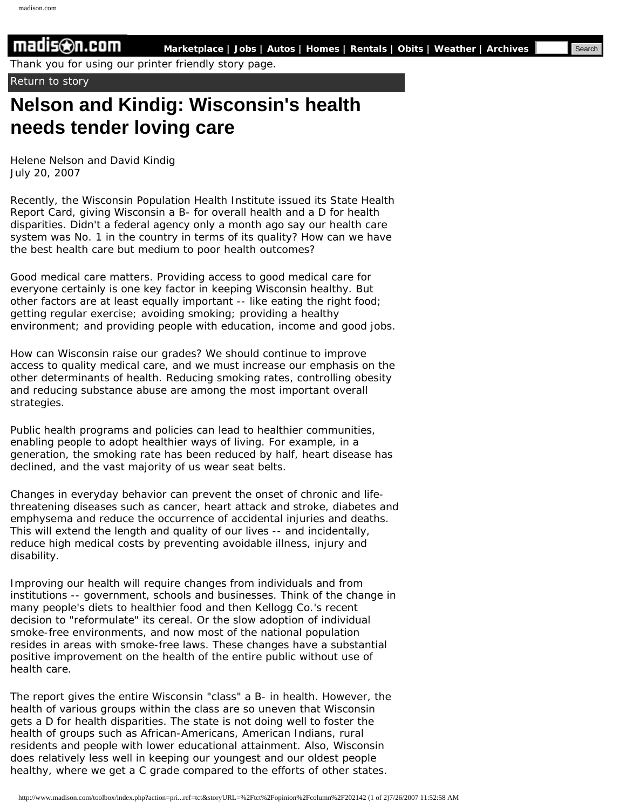## **[Marketplace](http://www.madison.com/cls/) | [Jobs](http://www.madison.com/jobs/) | [Autos](http://www.madison.com/cars/) | [Homes](http://www.madison.com/homes/) | [Rentals](http://www.madison.com/rentals/) | [Obits](http://www.madison.com/obits/) | [Weather](http://www.madison.com/weather/) | [Archives](http://www.madison.com/archives/)**

Thank you for using our printer friendly story page.

## [Return to story](http://www.madison.com/tct/opinion/column/202142)

## **Nelson and Kindig: Wisconsin's health needs tender loving care**

Helene Nelson and David Kindig July 20, 2007

Recently, the Wisconsin Population Health Institute issued its State Health Report Card, giving Wisconsin a B- for overall health and a D for health disparities. Didn't a federal agency only a month ago say our health care system was No. 1 in the country in terms of its quality? How can we have the best health care but medium to poor health outcomes?

Good medical care matters. Providing access to good medical care for everyone certainly is one key factor in keeping Wisconsin healthy. But other factors are at least equally important -- like eating the right food; getting regular exercise; avoiding smoking; providing a healthy environment; and providing people with education, income and good jobs.

How can Wisconsin raise our grades? We should continue to improve access to quality medical care, and we must increase our emphasis on the other determinants of health. Reducing smoking rates, controlling obesity and reducing substance abuse are among the most important overall strategies.

Public health programs and policies can lead to healthier communities, enabling people to adopt healthier ways of living. For example, in a generation, the smoking rate has been reduced by half, heart disease has declined, and the vast majority of us wear seat belts.

Changes in everyday behavior can prevent the onset of chronic and lifethreatening diseases such as cancer, heart attack and stroke, diabetes and emphysema and reduce the occurrence of accidental injuries and deaths. This will extend the length and quality of our lives -- and incidentally, reduce high medical costs by preventing avoidable illness, injury and disability.

Improving our health will require changes from individuals and from institutions -- government, schools and businesses. Think of the change in many people's diets to healthier food and then Kellogg Co.'s recent decision to "reformulate" its cereal. Or the slow adoption of individual smoke-free environments, and now most of the national population resides in areas with smoke-free laws. These changes have a substantial positive improvement on the health of the entire public without use of health care. http://www.madison.com/index.php?action=principles.com/index.php?action=principles.com/index.php?action=principles.com/index.php?action=principles.com/index.php?action=principles.com/index.php?action=principles.com/index.p

The report gives the entire Wisconsin "class" a B- in health. However, the health of various groups within the class are so uneven that Wisconsin gets a D for health disparities. The state is not doing well to foster the health of groups such as African-Americans, American Indians, rural residents and people with lower educational attainment. Also, Wisconsin does relatively less well in keeping our youngest and our oldest people healthy, where we get a C grade compared to the efforts of other states.